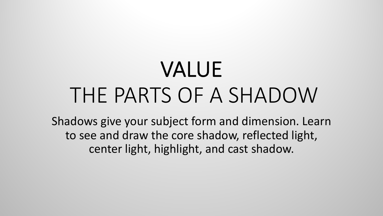# VALUE THE PARTS OF A SHADOW

Shadows give your subject form and dimension. Learn to see and draw the core shadow, reflected light, center light, highlight, and cast shadow.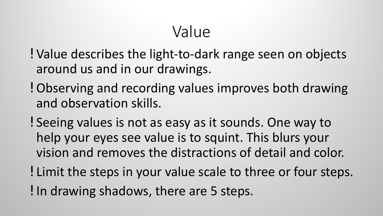## Value

- ! Value describes the light-to-dark range seen on objects around us and in our drawings.
- ! Observing and recording values improves both drawing and observation skills.
- ! Seeing values is not as easy as it sounds. One way to help your eyes see value is to squint. This blurs your vision and removes the distractions of detail and color.
- ! Limit the steps in your value scale to three or four steps. •In drawing shadows, there are 5 steps.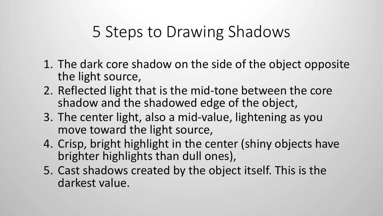## 5 Steps to Drawing Shadows

- 1. The dark core shadow on the side of the object opposite the light source,
- 2. Reflected light that is the mid-tone between the core shadow and the shadowed edge of the object,
- 3. The center light, also a mid-value, lightening as you move toward the light source,
- 4. Crisp, bright highlight in the center (shiny objects have brighter highlights than dull ones),
- 5. Cast shadows created by the object itself. This is the darkest value.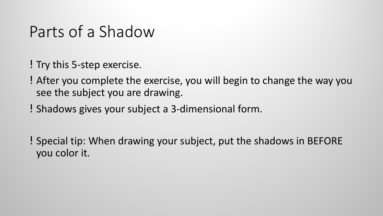## Parts of a Shadow

- ! Try this 5-step exercise.
- ! After you complete the exercise, you will begin to change the way you see the subject you are drawing.
- Shadows gives your subject a 3-dimensional form.
- ! Special tip: When drawing your subject, put the shadows in BEFORE you color it.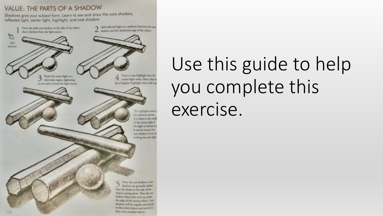#### VALUE: THE PARTS OF A SHADOW

Shadows give your subject form. Learn to see and draw the core shadow, reflected light, center light, highlight, and cast shadow.



# Use this guide to help you complete this exercise.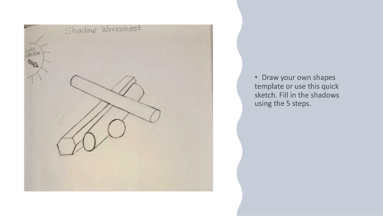

• Draw your own shapes template or use this quick sketch. Fill in the shadows using the 5 steps.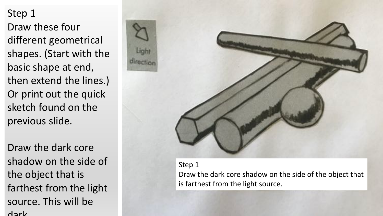Draw these four different geometrical shapes. (Start with the basic shape at end, then extend the lines.) Or print out the quick sketch found on the previous slide.

Draw the dark core shadow on the side of the object that is farthest from the light source. This will be dark.



Step 1 Draw the dark core shadow on the side of the object that is farthest from the light source.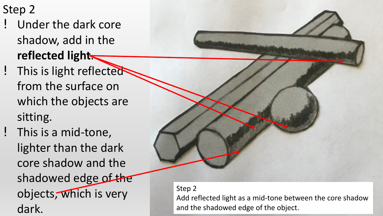- Under the dark core shadow, add in the **reflected light**.
- ! This is light reflected from the surface on which the objects are sitting.
- ! This is a mid-tone, lighter than the dark core shadow and the shadowed edge of the objects, which is very dark.



### Step 2

Add reflected light as a mid-tone between the core shadow and the shadowed edge of the object.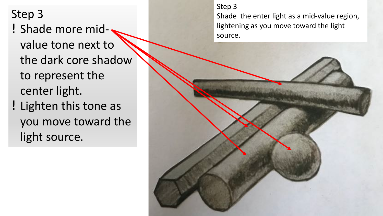- ! Shade more mid-
- value tone next to the dark core shadow to represent the center light.
- ! Lighten this tone as you move toward the light source.

#### Step 3

Shade the enter light as a mid-value region, lightening as you move toward the light source.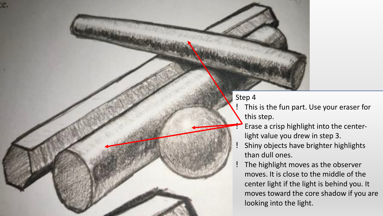æ.

- This is the fun part. Use your eraser for this step.
- Erase a crisp highlight into the centerlight value you drew in step 3.
- Shiny objects have brighter highlights than dull ones.
- The highlight moves as the observer moves. It is close to the middle of the center light if the light is behind you. It moves toward the core shadow if you are looking into the light.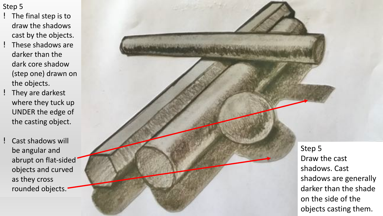- ! The final step is to draw the shadows cast by the objects.
- ! These shadows are darker than the dark core shadow (step one) drawn on the objects.
- ! They are darkest where they tuck up UNDER the edge of the casting object.
- ! Cast shadows will be angular and abrupt on flat -sided objects and curved as they cross rounded objects.

Step 5 Draw the cast shadows. Cast shadows are generally darker than the shade on the side of the objects casting them.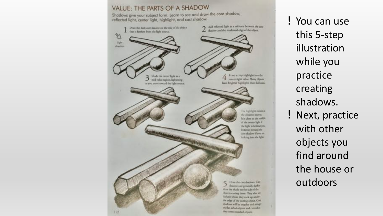

! You can use this 5-step illustration while you practice creating shadows. ! Next, practice with other objects you find around the house or outdoors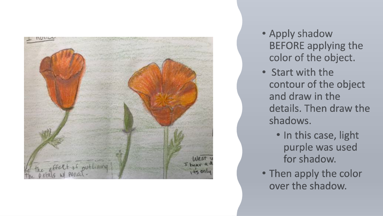

- Apply shadow **BEFORE applying the** color of the object.
- Start with the contour of the object and draw in the details. Then draw the shadows.
	- . In this case, light purple was used for shadow.
- Then apply the color over the shadow.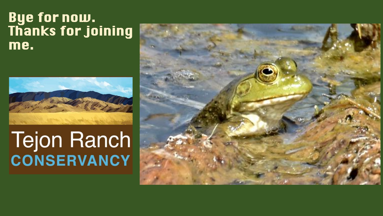## Bye for now. Thanks for joining me.



# Tejon Ranch **CONSERVANCY**